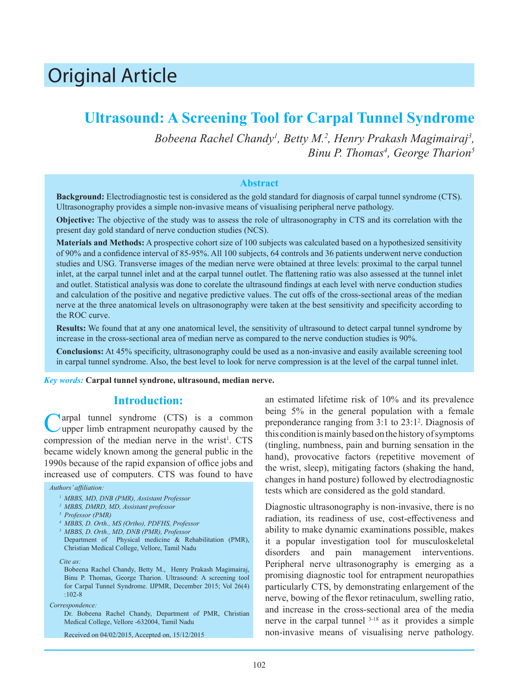# Original Article

## **Ultrasound: A Screening Tool for Carpal Tunnel Syndrome**

Bobeena Rachel Chandy<sup>1</sup>, Betty M.<sup>2</sup>, Henry Prakash Magimairaj<sup>3</sup>, *Binu P. Thomas4 , George Tharion<sup>5</sup>*

#### **Abstract**

**Background:** Electrodiagnostic test is considered as the gold standard for diagnosis of carpal tunnel syndrome (CTS). Ultrasonography provides a simple non-invasive means of visualising peripheral nerve pathology.

**Objective:** The objective of the study was to assess the role of ultrasonography in CTS and its correlation with the present day gold standard of nerve conduction studies (NCS).

**Materials and Methods:** A prospective cohort size of 100 subjects was calculated based on a hypothesized sensitivity of 90% and a confidence interval of 85-95%. All 100 subjects, 64 controls and 36 patients underwent nerve conduction studies and USG. Transverse images of the median nerve were obtained at three levels: proximal to the carpal tunnel inlet, at the carpal tunnel inlet and at the carpal tunnel outlet. The flattening ratio was also assessed at the tunnel inlet and outlet. Statistical analysis was done to corelate the ultrasound findings at each level with nerve conduction studies and calculation of the positive and negative predictive values. The cut offs of the cross-sectional areas of the median nerve at the three anatomical levels on ultrasonography were taken at the best sensitivity and specificity according to the ROC curve.

**Results:** We found that at any one anatomical level, the sensitivity of ultrasound to detect carpal tunnel syndrome by increase in the cross-sectional area of median nerve as compared to the nerve conduction studies is 90%.

**Conclusions:** At 45% specificity, ultrasonography could be used as a non-invasive and easily available screening tool in carpal tunnel syndrome. Also, the best level to look for nerve compression is at the level of the carpal tunnel inlet.

*Key words:* **Carpal tunnel syndrone, ultrasound, median nerve.**

## **Introduction:**

Carpal tunnel syndrome (CTS) is a common upper limb entrapment neuropathy caused by the compression of the median nerve in the wrist<sup>1</sup>.  $CTS$ became widely known among the general public in the 1990s because of the rapid expansion of office jobs and increased use of computers. CTS was found to have

#### *Authors' affiliation:*

- *1 MBBS, MD, DNB (PMR), Assistant Professor*
- *2 MBBS, DMRD, MD, Assistant professor*
- *3 Professor (PMR)*
- *4 MBBS, D. Orth., MS (Ortho), PDFHS, Professor*
- *5 MBBS, D. Orth., MD, DNB (PMR), Professor*
- Department of Physical medicine & Rehabilitation (PMR), Christian Medical College, Vellore, Tamil Nadu

*Cite as:*

Bobeena Rachel Chandy, Betty M., Henry Prakash Magimairaj, Binu P. Thomas, George Tharion. Ultrasound: A screening tool for Carpal Tunnel Syndrome. IJPMR, December 2015; Vol 26(4) :102-8

*Correspondence:*

Dr. Bobeena Rachel Chandy, Department of PMR, Christian Medical College, Vellore -632004, Tamil Nadu

Received on 04/02/2015, Accepted on, 15/12/2015

an estimated lifetime risk of 10% and its prevalence being 5% in the general population with a female preponderance ranging from 3:1 to 23:1<sup>2</sup>. Diagnosis of this condition is mainly based on the history of symptoms (tingling, numbness, pain and burning sensation in the hand), provocative factors (repetitive movement of the wrist, sleep), mitigating factors (shaking the hand, changes in hand posture) followed by electrodiagnostic tests which are considered as the gold standard.

Diagnostic ultrasonography is non-invasive, there is no radiation, its readiness of use, cost-effectiveness and ability to make dynamic examinations possible, makes it a popular investigation tool for musculoskeletal disorders and pain management interventions. Peripheral nerve ultrasonography is emerging as a promising diagnostic tool for entrapment neuropathies particularly CTS, by demonstrating enlargement of the nerve, bowing of the flexor retinaculum, swelling ratio, and increase in the cross-sectional area of the media nerve in the carpal tunnel 3-18 as it provides a simple non-invasive means of visualising nerve pathology.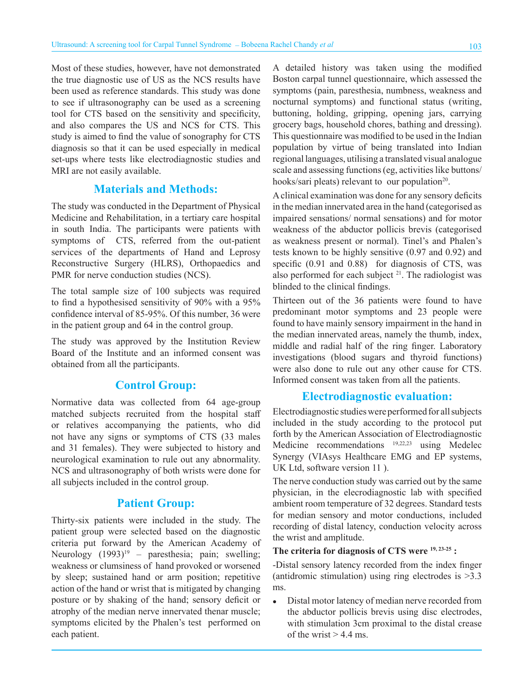Most of these studies, however, have not demonstrated the true diagnostic use of US as the NCS results have been used as reference standards. This study was done to see if ultrasonography can be used as a screening tool for CTS based on the sensitivity and specificity, and also compares the US and NCS for CTS. This study is aimed to find the value of sonography for CTS diagnosis so that it can be used especially in medical set-ups where tests like electrodiagnostic studies and MRI are not easily available.

## **Materials and Methods:**

The study was conducted in the Department of Physical Medicine and Rehabilitation, in a tertiary care hospital in south India. The participants were patients with symptoms of CTS, referred from the out-patient services of the departments of Hand and Leprosy Reconstructive Surgery (HLRS), Orthopaedics and PMR for nerve conduction studies (NCS).

The total sample size of 100 subjects was required to find a hypothesised sensitivity of 90% with a 95% confidence interval of 85-95%. Of this number, 36 were in the patient group and 64 in the control group.

The study was approved by the Institution Review Board of the Institute and an informed consent was obtained from all the participants.

## **Control Group:**

Normative data was collected from 64 age-group matched subjects recruited from the hospital staff or relatives accompanying the patients, who did not have any signs or symptoms of CTS (33 males and 31 females). They were subjected to history and neurological examination to rule out any abnormality. NCS and ultrasonography of both wrists were done for all subjects included in the control group.

## **Patient Group:**

Thirty-six patients were included in the study. The patient group were selected based on the diagnostic criteria put forward by the American Academy of Neurology  $(1993)^{19}$  – paresthesia; pain; swelling; weakness or clumsiness of hand provoked or worsened by sleep; sustained hand or arm position; repetitive action of the hand or wrist that is mitigated by changing posture or by shaking of the hand; sensory deficit or atrophy of the median nerve innervated thenar muscle; symptoms elicited by the Phalen's test performed on each patient.

A detailed history was taken using the modified Boston carpal tunnel questionnaire, which assessed the symptoms (pain, paresthesia, numbness, weakness and nocturnal symptoms) and functional status (writing, buttoning, holding, gripping, opening jars, carrying grocery bags, household chores, bathing and dressing). This questionnaire was modified to be used in the Indian population by virtue of being translated into Indian regional languages, utilising a translated visual analogue scale and assessing functions (eg, activities like buttons/ hooks/sari pleats) relevant to our population<sup>20</sup>.

A clinical examination was done for any sensory deficits in the median innervated area in the hand (categorised as impaired sensations/ normal sensations) and for motor weakness of the abductor pollicis brevis (categorised as weakness present or normal). Tinel's and Phalen's tests known to be highly sensitive (0.97 and 0.92) and specific (0.91 and 0.88) for diagnosis of CTS, was also performed for each subject  $21$ . The radiologist was blinded to the clinical findings.

Thirteen out of the 36 patients were found to have predominant motor symptoms and 23 people were found to have mainly sensory impairment in the hand in the median innervated areas, namely the thumb, index, middle and radial half of the ring finger. Laboratory investigations (blood sugars and thyroid functions) were also done to rule out any other cause for CTS. Informed consent was taken from all the patients.

## **Electrodiagnostic evaluation:**

Electrodiagnostic studies were performed for all subjects included in the study according to the protocol put forth by the American Association of Electrodiagnostic Medicine recommendations 19,22,23 using Medelec Synergy (VIAsys Healthcare EMG and EP systems, UK Ltd, software version 11 ).

The nerve conduction study was carried out by the same physician, in the elecrodiagnostic lab with specified ambient room temperature of 32 degrees. Standard tests for median sensory and motor conductions, included recording of distal latency, conduction velocity across the wrist and amplitude.

#### **The criteria for diagnosis of CTS were 19, 23-25 :**

-Distal sensory latency recorded from the index finger (antidromic stimulation) using ring electrodes is  $>3.3$ ms.

• Distal motor latency of median nerve recorded from the abductor pollicis brevis using disc electrodes, with stimulation 3cm proximal to the distal crease of the wrist  $> 4.4$  ms.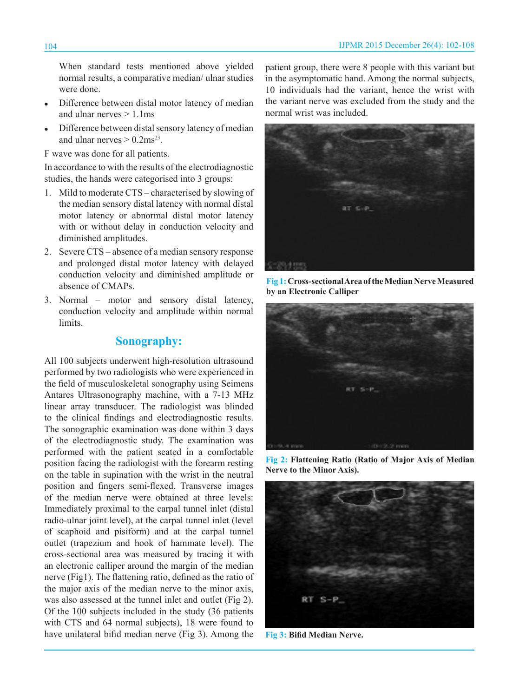When standard tests mentioned above yielded normal results, a comparative median/ ulnar studies were done.

- Difference between distal motor latency of median and ulnar nerves  $> 1.1$ ms
- Difference between distal sensory latency of median and ulnar nerves  $> 0.2$ ms<sup>23</sup>.

F wave was done for all patients.

In accordance to with the results of the electrodiagnostic studies, the hands were categorised into 3 groups:

- 1. Mild to moderate CTS characterised by slowing of the median sensory distal latency with normal distal motor latency or abnormal distal motor latency with or without delay in conduction velocity and diminished amplitudes.
- 2. Severe CTS absence of a median sensory response and prolonged distal motor latency with delayed conduction velocity and diminished amplitude or absence of CMAPs.
- 3. Normal motor and sensory distal latency, conduction velocity and amplitude within normal limits.

## **Sonography:**

All 100 subjects underwent high-resolution ultrasound performed by two radiologists who were experienced in the field of musculoskeletal sonography using Seimens Antares Ultrasonography machine, with a 7-13 MHz linear array transducer. The radiologist was blinded to the clinical findings and electrodiagnostic results. The sonographic examination was done within 3 days of the electrodiagnostic study. The examination was performed with the patient seated in a comfortable position facing the radiologist with the forearm resting on the table in supination with the wrist in the neutral position and fingers semi-flexed. Transverse images of the median nerve were obtained at three levels: Immediately proximal to the carpal tunnel inlet (distal radio-ulnar joint level), at the carpal tunnel inlet (level of scaphoid and pisiform) and at the carpal tunnel outlet (trapezium and hook of hammate level). The cross-sectional area was measured by tracing it with an electronic calliper around the margin of the median nerve (Fig1). The flattening ratio, defined as the ratio of the major axis of the median nerve to the minor axis, was also assessed at the tunnel inlet and outlet (Fig 2). Of the 100 subjects included in the study (36 patients with CTS and 64 normal subjects), 18 were found to have unilateral bifid median nerve (Fig 3). Among the patient group, there were 8 people with this variant but in the asymptomatic hand. Among the normal subjects, 10 individuals had the variant, hence the wrist with the variant nerve was excluded from the study and the normal wrist was included.



**Fig 1:Cross-sectional Area of the Median Nerve Measured by an Electronic Calliper**



**Fig 2: Flattening Ratio (Ratio of Major Axis of Median Nerve to the Minor Axis).**



**Fig 3: Bifid Median Nerve.**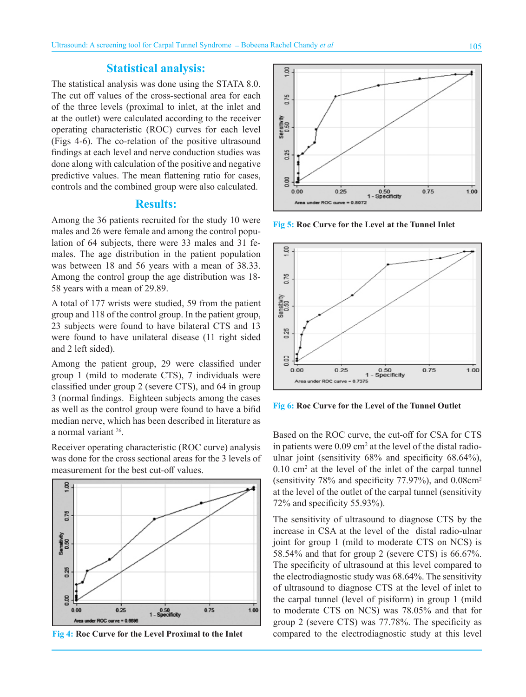## **Statistical analysis:**

The statistical analysis was done using the STATA 8.0. The cut off values of the cross-sectional area for each of the three levels (proximal to inlet, at the inlet and at the outlet) were calculated according to the receiver operating characteristic (ROC) curves for each level (Figs 4-6). The co-relation of the positive ultrasound findings at each level and nerve conduction studies was done along with calculation of the positive and negative predictive values. The mean flattening ratio for cases, controls and the combined group were also calculated.

### **Results:**

Among the 36 patients recruited for the study 10 were males and 26 were female and among the control population of 64 subjects, there were 33 males and 31 females. The age distribution in the patient population was between 18 and 56 years with a mean of 38.33. Among the control group the age distribution was 18- 58 years with a mean of 29.89.

A total of 177 wrists were studied, 59 from the patient group and 118 of the control group. In the patient group, 23 subjects were found to have bilateral CTS and 13 were found to have unilateral disease (11 right sided and 2 left sided).

Among the patient group, 29 were classified under group 1 (mild to moderate CTS), 7 individuals were classified under group 2 (severe CTS), and 64 in group 3 (normal findings. Eighteen subjects among the cases as well as the control group were found to have a bifid median nerve, which has been described in literature as a normal variant 26.

Receiver operating characteristic (ROC curve) analysis was done for the cross sectional areas for the 3 levels of measurement for the best cut-off values.





 $\frac{8}{3}$ . 0.75 Sensitivity<br>0.50 0.25  $0.00$  $0.75$  $0.00$  $0.25$ 0.50<br>1 - Specificity 1.00 ROC curve = 0.8072

**Fig 5: Roc Curve for the Level at the Tunnel Inlet**



**Fig 6: Roc Curve for the Level of the Tunnel Outlet**

Based on the ROC curve, the cut-off for CSA for CTS in patients were  $0.09 \text{ cm}^2$  at the level of the distal radioulnar joint (sensitivity 68% and specificity 68.64%),  $0.10 \text{ cm}^2$  at the level of the inlet of the carpal tunnel (sensitivity 78% and specificity 77.97%), and 0.08cm<sup>2</sup> at the level of the outlet of the carpal tunnel (sensitivity 72% and specificity 55.93%).

The sensitivity of ultrasound to diagnose CTS by the increase in CSA at the level of the distal radio-ulnar joint for group 1 (mild to moderate CTS on NCS) is 58.54% and that for group 2 (severe CTS) is 66.67%. The specificity of ultrasound at this level compared to the electrodiagnostic study was 68.64%. The sensitivity of ultrasound to diagnose CTS at the level of inlet to the carpal tunnel (level of pisiform) in group 1 (mild to moderate CTS on NCS) was 78.05% and that for group 2 (severe CTS) was 77.78%. The specificity as compared to the electrodiagnostic study at this level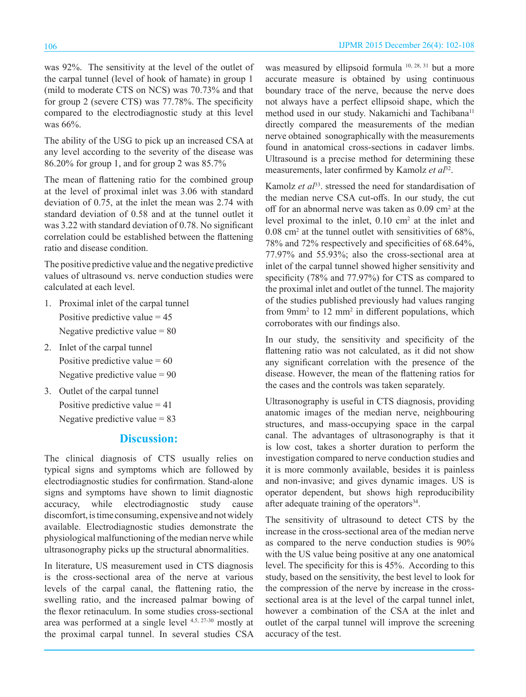The ability of the USG to pick up an increased CSA at any level according to the severity of the disease was 86.20% for group 1, and for group 2 was 85.7%

The mean of flattening ratio for the combined group at the level of proximal inlet was 3.06 with standard deviation of 0.75, at the inlet the mean was 2.74 with standard deviation of 0.58 and at the tunnel outlet it was 3.22 with standard deviation of 0.78. No significant correlation could be established between the flattening ratio and disease condition.

The positive predictive value and the negative predictive values of ultrasound vs. nerve conduction studies were calculated at each level.

- 1. Proximal inlet of the carpal tunnel Positive predictive value  $= 45$ Negative predictive value  $= 80$
- 2. Inlet of the carpal tunnel Positive predictive value  $= 60$ Negative predictive value  $= 90$
- 3. Outlet of the carpal tunnel Positive predictive value  $= 41$ Negative predictive value  $= 83$

## **Discussion:**

The clinical diagnosis of CTS usually relies on typical signs and symptoms which are followed by electrodiagnostic studies for confirmation. Stand-alone signs and symptoms have shown to limit diagnostic accuracy, while electrodiagnostic study cause discomfort, is time consuming, expensive and not widely available. Electrodiagnostic studies demonstrate the physiological malfunctioning of the median nerve while ultrasonography picks up the structural abnormalities.

In literature, US measurement used in CTS diagnosis is the cross-sectional area of the nerve at various levels of the carpal canal, the flattening ratio, the swelling ratio, and the increased palmar bowing of the flexor retinaculum. In some studies cross-sectional area was performed at a single level 4,5, 27-30 mostly at the proximal carpal tunnel. In several studies CSA

was measured by ellipsoid formula <sup>10, 28, 31</sup> but a more accurate measure is obtained by using continuous boundary trace of the nerve, because the nerve does not always have a perfect ellipsoid shape, which the method used in our study. Nakamichi and Tachibana<sup>11</sup> directly compared the measurements of the median nerve obtained sonographically with the measurements found in anatomical cross-sections in cadaver limbs. Ultrasound is a precise method for determining these measurements, later confirmed by Kamolz *et al*<sup>32</sup>.

Kamolz *et al*<sup>33</sup>. stressed the need for standardisation of the median nerve CSA cut-offs. In our study, the cut off for an abnormal nerve was taken as 0.09 cm<sup>2</sup> at the level proximal to the inlet, 0.10 cm<sup>2</sup> at the inlet and  $0.08 \text{ cm}^2$  at the tunnel outlet with sensitivities of 68%, 78% and 72% respectively and specificities of 68.64%, 77.97% and 55.93%; also the cross-sectional area at inlet of the carpal tunnel showed higher sensitivity and specificity (78% and 77.97%) for CTS as compared to the proximal inlet and outlet of the tunnel. The majority of the studies published previously had values ranging from 9mm<sup>2</sup> to 12 mm<sup>2</sup> in different populations, which corroborates with our findings also.

In our study, the sensitivity and specificity of the flattening ratio was not calculated, as it did not show any significant correlation with the presence of the disease. However, the mean of the flattening ratios for the cases and the controls was taken separately.

Ultrasonography is useful in CTS diagnosis, providing anatomic images of the median nerve, neighbouring structures, and mass-occupying space in the carpal canal. The advantages of ultrasonography is that it is low cost, takes a shorter duration to perform the investigation compared to nerve conduction studies and it is more commonly available, besides it is painless and non-invasive; and gives dynamic images. US is operator dependent, but shows high reproducibility after adequate training of the operators<sup>34</sup>.

The sensitivity of ultrasound to detect CTS by the increase in the cross-sectional area of the median nerve as compared to the nerve conduction studies is 90% with the US value being positive at any one anatomical level. The specificity for this is 45%. According to this study, based on the sensitivity, the best level to look for the compression of the nerve by increase in the crosssectional area is at the level of the carpal tunnel inlet, however a combination of the CSA at the inlet and outlet of the carpal tunnel will improve the screening accuracy of the test.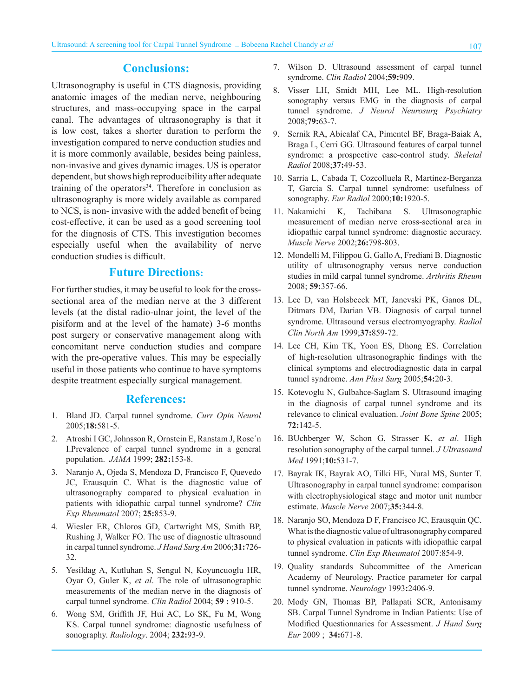## **Conclusions:**

Ultrasonography is useful in CTS diagnosis, providing anatomic images of the median nerve, neighbouring structures, and mass-occupying space in the carpal canal. The advantages of ultrasonography is that it is low cost, takes a shorter duration to perform the investigation compared to nerve conduction studies and it is more commonly available, besides being painless, non-invasive and gives dynamic images. US is operator dependent, but shows high reproducibility after adequate training of the operators $34$ . Therefore in conclusion as ultrasonography is more widely available as compared to NCS, is non- invasive with the added benefit of being cost-effective, it can be used as a good screening tool for the diagnosis of CTS. This investigation becomes especially useful when the availability of nerve conduction studies is difficult.

## **Future Directions:**

For further studies, it may be useful to look for the crosssectional area of the median nerve at the 3 different levels (at the distal radio-ulnar joint, the level of the pisiform and at the level of the hamate) 3-6 months post surgery or conservative management along with concomitant nerve conduction studies and compare with the pre-operative values. This may be especially useful in those patients who continue to have symptoms despite treatment especially surgical management.

#### **References:**

- 1. Bland JD. Carpal tunnel syndrome. *Curr Opin Neurol* 2005;**18:**581-5.
- 2. Atroshi I GC, Johnsson R, Ornstein E, Ranstam J, Rose´n I.Prevalence of carpal tunnel syndrome in a general population. *JAMA* 1999; **282:**153-8.
- 3. Naranjo A, Ojeda S, Mendoza D, Francisco F, Quevedo JC, Erausquin C. What is the diagnostic value of ultrasonography compared to physical evaluation in patients with idiopathic carpal tunnel syndrome? *Clin Exp Rheumatol* 2007; **25:**853-9.
- 4. Wiesler ER, Chloros GD, Cartwright MS, Smith BP, Rushing J, Walker FO. The use of diagnostic ultrasound in carpal tunnel syndrome. *J Hand Surg Am* 2006;**31:**726- 32.
- 5. Yesildag A, Kutluhan S, Sengul N, Koyuncuoglu HR, Oyar O, Guler K, *et al*. The role of ultrasonographic measurements of the median nerve in the diagnosis of carpal tunnel syndrome. *Clin Radiol* 2004; **59 :** 910-5.
- 6. Wong SM, Griffith JF, Hui AC, Lo SK, Fu M, Wong KS. Carpal tunnel syndrome: diagnostic usefulness of sonography. *Radiology*. 2004; **232:**93-9.
- 7. Wilson D. Ultrasound assessment of carpal tunnel syndrome. *Clin Radiol* 2004;**59:**909.
- 8. Visser LH, Smidt MH, Lee ML. High-resolution sonography versus EMG in the diagnosis of carpal tunnel syndrome. *J Neurol Neurosurg Psychiatry* 2008;**79:**63-7.
- 9. Sernik RA, Abicalaf CA, Pimentel BF, Braga-Baiak A, Braga L, Cerri GG. Ultrasound features of carpal tunnel syndrome: a prospective case-control study. *Skeletal Radiol* 2008;**37:**49-53.
- 10. Sarria L, Cabada T, Cozcolluela R, Martinez-Berganza T, Garcia S. Carpal tunnel syndrome: usefulness of sonography. *Eur Radiol* 2000;**10:**1920-5.
- 11. Nakamichi K, Tachibana S. Ultrasonographic measurement of median nerve cross-sectional area in idiopathic carpal tunnel syndrome: diagnostic accuracy. *Muscle Nerve* 2002;**26:**798-803.
- 12. Mondelli M, Filippou G, Gallo A, Frediani B. Diagnostic utility of ultrasonography versus nerve conduction studies in mild carpal tunnel syndrome. *Arthritis Rheum* 2008; **59:**357-66.
- 13. Lee D, van Holsbeeck MT, Janevski PK, Ganos DL, Ditmars DM, Darian VB. Diagnosis of carpal tunnel syndrome. Ultrasound versus electromyography. *Radiol Clin North Am* 1999;**37:**859-72.
- 14. Lee CH, Kim TK, Yoon ES, Dhong ES. Correlation of high-resolution ultrasonographic findings with the clinical symptoms and electrodiagnostic data in carpal tunnel syndrome. *Ann Plast Surg* 2005;**54:**20-3.
- 15. Kotevoglu N, Gulbahce-Saglam S. Ultrasound imaging in the diagnosis of carpal tunnel syndrome and its relevance to clinical evaluation. *Joint Bone Spine* 2005; **72:**142-5.
- 16. BUchberger W, Schon G, Strasser K, *et al*. High resolution sonography of the carpal tunnel. *J Ultrasound Med* 1991;**10:**531-7.
- 17. Bayrak IK, Bayrak AO, Tilki HE, Nural MS, Sunter T. Ultrasonography in carpal tunnel syndrome: comparison with electrophysiological stage and motor unit number estimate. *Muscle Nerve* 2007;**35:**344-8.
- 18. Naranjo SO, Mendoza D F, Francisco JC, Erausquin QC. What is the diagnostic value of ultrasonography compared to physical evaluation in patients with idiopathic carpal tunnel syndrome. *Clin Exp Rheumatol* 2007:854-9.
- 19. Quality standards Subcommittee of the American Academy of Neurology. Practice parameter for carpal tunnel syndrome. *Neurology* 1993**:**2406-9.
- 20. Mody GN, Thomas BP, Pallapati SCR, Antonisamy SB. Carpal Tunnel Syndrome in Indian Patients: Use of Modified Questionnaries for Assessment. *J Hand Surg Eur* 2009 ; **34:**671-8.